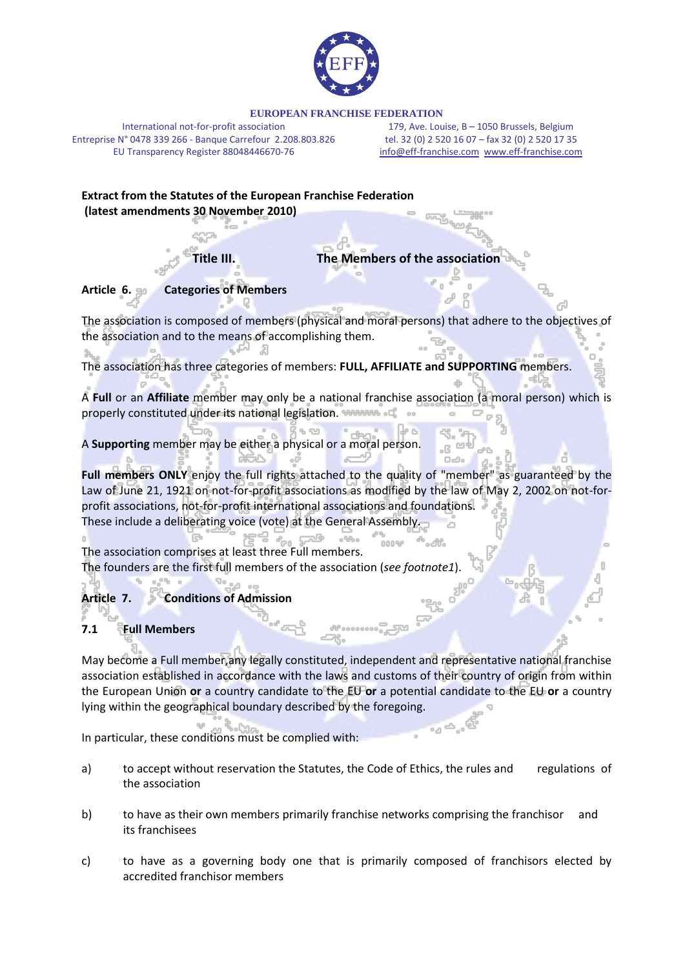

#### **EUROPEAN FRANCHISE FEDERATION**

International not-for-profit association Entreprise N° 0478 339 266 - Banque Carrefour 2.208.803.826 EU Transparency Register 88048446670-76

179, Ave. Louise, B – 1050 Brussels, Belgium tel. 32 (0) 2 520 16 07 – fax 32 (0) 2 520 17 35 [info@eff-franchise.com](mailto:info@eff-franchise.com) [www.eff-franchise.com](http://www.eff-franchise.com/)

# **Extract from the Statutes of the European Franchise Federation (latest amendments 30 November 2010)**

**Title III. The Members of the association**

## **Article 6. Categories of Members**

The association is composed of members (physical and moral persons) that adhere to the objectives of the association and to the means of accomplishing them.

The association has three categories of members: **FULL, AFFILIATE and SUPPORTING** members.

A **Full** or an **Affiliate** member may only be a national franchise association (a moral person) which is properly constituted under its national legislation.

A **Supporting** member may be either a physical or a moral person.

**Full members ONLY** enjoy the full rights attached to the quality of "member" as guaranteed by the Law of June 21, 1921 on not-for-profit associations as modified by the law of May 2, 2002 on not-forprofit associations, not-for-profit international associations and foundations. These include a deliberating voice (vote) at the General Assembly.

The association comprises at least three Full members. The founders are the first full members of the association (*see footnote1*).

# **Article 7. Conditions of Admission**

## **7.1 Full Members**

May become a Full member,any legally constituted, independent and representative national franchise association established in accordance with the laws and customs of their country of origin from within the European Union **or** a country candidate to the EU **or** a potential candidate to the EU **or** a country lying within the geographical boundary described by the foregoing.

In particular, these conditions must be complied with:

- a) to accept without reservation the Statutes, the Code of Ethics, the rules and regulations of the association
- b) to have as their own members primarily franchise networks comprising the franchisor and its franchisees
- c) to have as a governing body one that is primarily composed of franchisors elected by accredited franchisor members